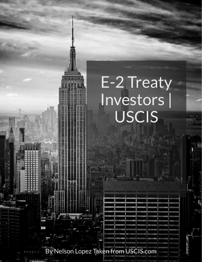By Nelson Lopez Taken from USCIS.com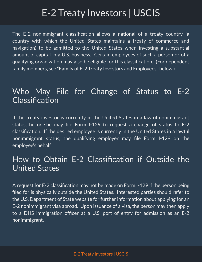The E-2 nonimmigrant classification allows a national of a treaty country (a country with which the United States maintains a treaty of commerce and navigation) to be admitted to the United States when investing a substantial amount of capital in a U.S. business. Certain employees of such a person or of a qualifying organization may also be eligible for this classification. (For dependent family members, see "Family of E-2 Treaty Investors and Employees" below.)

#### Who May File for Change of Status to E-2 Classification

If the treaty investor is currently in the United States in a lawful nonimmigrant status, he or she may file Form I-129 to request a change of status to E-2 classification. If the desired employee is currently in the United States in a lawful nonimmigrant status, the qualifying employer may file Form I-129 on the employee's behalf.

#### How to Obtain E-2 Classification if Outside the United States

A request for E-2 classification may not be made on Form I-129 if the person being filed for is physically outside the United States. Interested parties should refer to the U.S. Department of State website for further information about applying for an E-2 nonimmigrant visa abroad. Upon issuance of a visa, the person may then apply to a DHS immigration officer at a U.S. port of entry for admission as an E-2 nonimmigrant.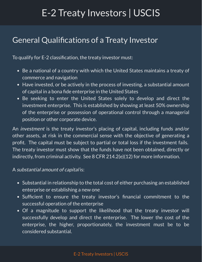#### General Qualifications of a Treaty Investor

To qualify for E-2 classification, the treaty investor must:

- Be a national of a country with which the United States maintains a treaty of commerce and navigation
- Have invested, or be actively in the process of investing, a substantial amount of capital in a bona fide enterprise in the United States
- Be seeking to enter the United States solely to develop and direct the investment enterprise. This is established by showing at least 50% ownership of the enterprise or possession of operational control through a managerial position or other corporate device.

An *investment* is the treaty investor's placing of capital, including funds and/or other assets, at risk in the commercial sense with the objective of generating a profit. The capital must be subject to partial or total loss if the investment fails. The treaty investor must show that the funds have not been obtained, directly or indirectly, from criminal activity. See 8 CFR 214.2(e)(12) for more information.

#### A substantial amount of capital is:

- Substantial in relationship to the total cost of either purchasing an established enterprise or establishing a new one
- Sufficient to ensure the treaty investor's financial commitment to the successful operation of the enterprise
- Of a magnitude to support the likelihood that the treaty investor will successfully develop and direct the enterprise. The lower the cost of the enterprise, the higher, proportionately, the investment must be to be considered substantial.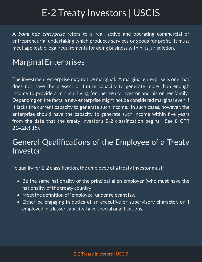A bona fide enterprise refers to a real, active and operating commercial or entrepreneurial undertaking which produces services or goods for profit. It must meet applicable legal requirements for doing business within its jurisdiction.

#### Marginal Enterprises

The investment enterprise may not be marginal. A marginal enterprise is one that does not have the present or future capacity to generate more than enough income to provide a minimal living for the treaty investor and his or her family. Depending on the facts, a new enterprise might not be considered marginal even if it lacks the current capacity to generate such income. In such cases, however, the enterprise should have the capacity to generate such income within five years from the date that the treaty investor's E-2 classification begins. See 8 CFR 214.2(e)(15).

#### General Qualifications of the Employee of a Treaty Investor

To qualify for E-2 classification, the employee of a treaty investor must:

- Be the same nationality of the principal alien employer (who must have the nationality of the treaty country)
- Meet the definition of "employee" under relevant law
- Either be engaging in duties of an executive or supervisory character, or if employed in a lesser capacity, have special qualifications.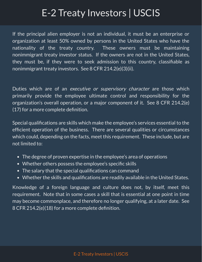If the principal alien employer is not an individual, it must be an enterprise or organization at least 50% owned by persons in the United States who have the nationality of the treaty country. These owners must be maintaining nonimmigrant treaty investor status. If the owners are not in the United States, they must be, if they were to seek admission to this country, classifiable as nonimmigrant treaty investors. See 8 CFR 214.2(e)(3)(ii).

Duties which are of an *executive or supervisory character* are those which primarily provide the employee ultimate control and responsibility for the organization's overall operation, or a major component of it. See 8 CFR 214.2(e)  $(17)$  for a more complete definition.

Special qualifications are skills which make the employee's services essential to the efficient operation of the business. There are several qualities or circumstances which could, depending on the facts, meet this requirement. These include, but are not limited to:

- The degree of proven expertise in the employee's area of operations
- Whether others possess the employee's specific skills
- The salary that the special qualifications can command
- Whether the skills and qualifications are readily available in the United States.

Knowledge of a foreign language and culture does not, by itself, meet this requirement. Note that in some cases a skill that is essential at one point in time may become commonplace, and therefore no longer qualifying, at a later date. See 8 CFR 214.2(e)(18) for a more complete definition.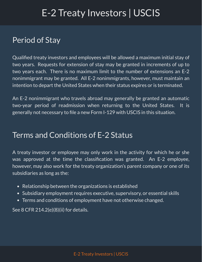#### Period of Stay

Qualified treaty investors and employees will be allowed a maximum initial stay of two years. Requests for extension of stay may be granted in increments of up to two years each. There is no maximum limit to the number of extensions an E-2 nonimmigrant may be granted. All E-2 nonimmigrants, however, must maintain an intention to depart the United States when their status expires or is terminated.

An E-2 nonimmigrant who travels abroad may generally be granted an automatic two-year period of readmission when returning to the United States. It is generally not necessary to file a new Form I-129 with USCIS in this situation.

#### Terms and Conditions of E-2 Status

A treaty investor or employee may only work in the activity for which he or she was approved at the time the classification was granted. An E-2 employee, however, may also work for the treaty organization's parent company or one of its subsidiaries as long as the:

- Relationship between the organizations is established
- Subsidiary employment requires executive, supervisory, or essential skills
- Terms and conditions of employment have not otherwise changed.

See 8 CFR 214.2(e)(8)(ii) for details.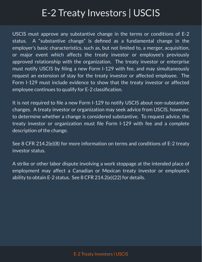USCIS must approve any substantive change in the terms or conditions of E-2 status. A "substantive change" is defined as a fundamental change in the employer's basic characteristics, such as, but not limited to, a merger, acquisition, or major event which affects the treaty investor or employee's previously approved relationship with the organization. The treaty investor or enterprise must notify USCIS by filing a new Form I-129 with fee, and may simultaneously request an extension of stay for the treaty investor or affected employee. The Form I-129 must include evidence to show that the treaty investor or affected employee continues to qualify for E-2 classification.

It is not required to file a new Form I-129 to notify USCIS about non-substantive changes. A treaty investor or organization may seek advice from USCIS, however, to determine whether a change is considered substantive. To request advice, the treaty investor or organization must file Form I-129 with fee and a complete description of the change.

See 8 CFR 214.2(e)(8) for more information on terms and conditions of E-2 treaty investor status.

A strike or other labor dispute involving a work stoppage at the intended place of employment may affect a Canadian or Mexican treaty investor or employee's ability to obtain E-2 status. See 8 CFR 214.2(e)(22) for details.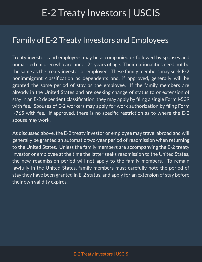#### Family of E-2 Treaty Investors and Employees

Treaty investors and employees may be accompanied or followed by spouses and unmarried children who are under 21 years of age. Their nationalities need not be the same as the treaty investor or employee. These family members may seek E-2 nonimmigrant classification as dependents and, if approved, generally will be granted the same period of stay as the employee. If the family members are already in the United States and are seeking change of status to or extension of stay in an  $E$ -2 dependent classification, they may apply by filing a single Form I-539 with fee. Spouses of E-2 workers may apply for work authorization by filing Form  $I-765$  with fee. If approved, there is no specific restriction as to where the  $E-2$ spouse may work.

As discussed above, the E-2 treaty investor or employee may travel abroad and will generally be granted an automatic two-year period of readmission when returning to the United States. Unless the family members are accompanying the E-2 treaty investor or employee at the time the latter seeks readmission to the United States, the new readmission period will not apply to the family members. To remain lawfully in the United States, family members must carefully note the period of stay they have been granted in E-2 status, and apply for an extension of stay before their own validity expires.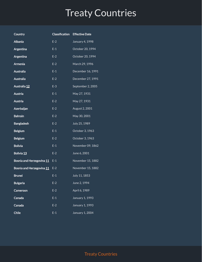| Country                   | Classification | <b>Effective Date</b> |
|---------------------------|----------------|-----------------------|
| <b>Albania</b>            | $E-2$          | January 4, 1998       |
| Argentina                 | E-1            | October 20, 1994      |
| Argentina                 | $E-2$          | October 20, 1994      |
| Armenia                   | $E-2$          | March 29, 1996        |
| <b>Australia</b>          | $E-1$          | December 16, 1991     |
| Australia                 | $E-2$          | December 27, 1991     |
| Australia 12              | $E-3$          | September 2, 2005     |
| Austria                   | $E-1$          | May 27, 1931          |
| Austria                   | $E-2$          | May 27, 1931          |
| Azerbaijan                | $E-2$          | August 2, 2001        |
| <b>Bahrain</b>            | $E-2$          | May 30, 2001          |
| <b>Bangladesh</b>         | $E-2$          | July 25, 1989         |
| <b>Belgium</b>            | $E-1$          | October 3, 1963       |
| <b>Belgium</b>            | $E-2$          | October 3, 1963       |
| <b>Bolivia</b>            | $E-1$          | November 09, 1862     |
| Bolivia 13                | $E-2$          | June 6, 2001          |
| Bosnia and Herzegovina 11 | $E-1$          | November 15, 1882     |
| Bosnia and Herzegovina 11 | $E-2$          | November 15, 1882     |
| <b>Brunei</b>             | $E-1$          | July 11, 1853         |
| <b>Bulgaria</b>           | $E-2$          | June 2, 1994          |
| Cameroon                  | $E-2$          | April 6, 1989         |
| Canada                    | $E-1$          | January 1, 1993       |
| Canada                    | $E-2$          | January 1, 1993       |
| <b>Chile</b>              | $E-1$          | January 1, 2004       |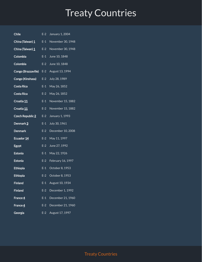| <b>Chile</b>        |       | E-2 January 1, 2004 |
|---------------------|-------|---------------------|
| China (Taiwan) 1    | $E-1$ | November 30, 1948   |
| China (Taiwan) 1    | $E-2$ | November 30, 1948   |
| Colombia            | $E-1$ | June 10, 1848       |
| Colombia            | $E-2$ | June 10, 1848       |
| Congo (Brazzaville) |       | E-2 August 13, 1994 |
| Congo (Kinshasa)    | $E-2$ | July 28, 1989       |
| Costa Rica          | $E-1$ | May 26, 1852        |
| Costa Rica          | $E-2$ | May 26, 1852        |
| Croatia 11          | $E-1$ | November 15, 1882   |
| Croatia 11          | $E-2$ | November 15, 1882   |
| Czech Republic 2    | $E-2$ | January 1, 1993     |
| Denmark 3           | $E-1$ | July 30, 1961       |
| <b>Denmark</b>      | $E-2$ | December 10, 2008   |
| Ecuador 14          | $E-2$ | May 11, 1997        |
| <b>Egypt</b>        | $E-2$ | June 27, 1992       |
| <b>Estonia</b>      | $E-1$ | May 22, 1926        |
| <b>Estonia</b>      | $E-2$ | February 16, 1997   |
| Ethiopia            | $E-1$ | October 8, 1953     |
| Ethiopia            | $E-2$ | October 8, 1953     |
| <b>Finland</b>      | $E-1$ | August 10, 1934     |
| <b>Finland</b>      | $E-2$ | December 1, 1992    |
| France 4            | $E-1$ | December 21, 1960   |
| France 4            | $E-2$ | December 21, 1960   |
| Georgia             | $E-2$ | August 17, 1997     |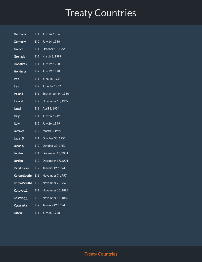Germany E-1 July 14, 1956 Germany E-2 July 14, 1956 Greece E-1 October 13, 1954 Grenada E-2 March 3, 1989 Honduras E-1 July 19, 1928 Honduras E-2 July 19, 1928 Iran E-1 June 16, 1957 **Iran** E-2 June 16, 1957 Ireland E-1 September 14, 1950 Ireland E-2 November 18, 1992 **Israel** E-1 April 3, 1954 **Italy E-1** July 26, 1949 Italy E-2 July 26, 1949 Jamaica E-2 March 7, 1997 **Japan [5](https://app.designrr.io/#5)** E-1 October 30, 1953 **Japan [5](https://app.designrr.io/#5)** E-2 October 30, 1953 Jordan E-1 December 17, 2001 Jordan E-2 December 17, 2001 Kazakhstan E-2 January 12, 1994 Korea (South) E-1 November 7, 1957 Korea (South) E-2 November 7, 1957 Kosovo [11](https://app.designrr.io/#11) E-1 November 15, 1882 Kosovo [11](https://app.designrr.io/#11) E-2 November 15, 1882 Kyrgyzstan E-2 January 12, 1994 Latvia E-1 July 25, 1928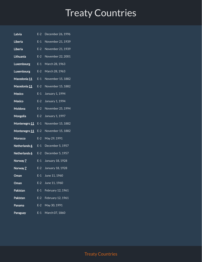- Latvia E-2 December 26, 1996
- Liberia E-1 November 21, 1939
- Liberia E-2 November 21, 1939
- Lithuania E-2 November 22, 2001
- Luxembourg E-1 March 28, 1963
- Luxembourg E-2 March 28, 1963
- Macedonia [11](https://app.designrr.io/#11) E-1 November 15, 1882
- Macedonia [11](https://app.designrr.io/#11) E-2 November 15, 1882
- Mexico E-1 January 1, 1994
- Mexico E-2 January 1, 1994
- Moldova E-2 November 25, 1994
- Mongolia E-2 January 1, 1997
- Montenegro [11](https://app.designrr.io/#11) E-1 November 15, 1882
- Montenegro [11](https://app.designrr.io/#11) E-2 November 15, 1882
- Morocco E-2 May 29, 1991
- Netherlands [6](https://app.designrr.io/#6) E-1 December 5, 1957
- Netherlands [6](https://app.designrr.io/#6) E-2 December 5, 1957
- Norway [7](https://app.designrr.io/#7) E-1 January 18, 1928
- **Norway [7](https://app.designrr.io/#7)** E-2 January 18, 1928
- **Oman** E-1 June 11, 1960
- **Oman** E-2 June 11, 1960
- Pakistan E-1 February 12, 1961
- Pakistan E-2 February 12, 1961
- Panama E-2 May 30, 1991
- Paraguay E-1 March 07, 1860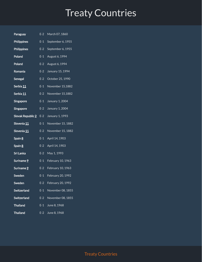| Paraguay                 | $E-2$ | March 07, 1860    |
|--------------------------|-------|-------------------|
| <b>Philippines</b>       | $E-1$ | September 6, 1955 |
| <b>Philippines</b>       | $E-2$ | September 6, 1955 |
| Poland                   | $E-1$ | August 6, 1994    |
| Poland                   | $E-2$ | August 6, 1994    |
| Romania                  | $E-2$ | January 15, 1994  |
| Senegal                  | $E-2$ | October 25, 1990  |
| Serbia <u>11</u>         | $E-1$ | November 15,1882  |
| Serbia <u>11</u>         | $E-2$ | November 15,1882  |
| Singapore                | $E-1$ | January 1, 2004   |
| Singapore                | $E-2$ | January 1, 2004   |
| Slovak Republic <u>2</u> | $E-2$ | January 1, 1993   |
| Slovenia 11              | $E-1$ | November 15, 1882 |
| Slovenia 11              | $E-2$ | November 15, 1882 |
| Spain 8                  | $E-1$ | April 14, 1903    |
| Spain 8                  | $E-2$ | April 14, 1903    |
| Sri Lanka                | $E-2$ | May 1, 1993       |
| Suriname 9               | $E-1$ | February 10, 1963 |
| Suriname <u>9</u>        | $E-2$ | February 10, 1963 |
| Sweden                   | $E-1$ | February 20, 1992 |
| Sweden                   | $E-2$ | February 20, 1992 |
| <b>Switzerland</b>       | $E-1$ | November 08, 1855 |
| Switzerland              | $E-2$ | November 08, 1855 |
| <b>Thailand</b>          | $E-1$ | June 8, 1968      |
| <b>Thailand</b>          | $E-2$ | June 8, 1968      |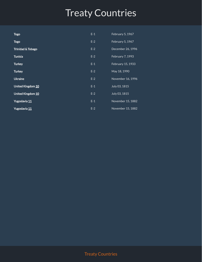| <b>Togo</b>                  | $E-1$ | February 5, 1967  |
|------------------------------|-------|-------------------|
| <b>Togo</b>                  | $E-2$ | February 5, 1967  |
| <b>Trinidad &amp; Tobago</b> | $E-2$ | December 26, 1996 |
| <b>Tunisia</b>               | $E-2$ | February 7, 1993  |
| <b>Turkey</b>                | $E-1$ | February 15, 1933 |
| <b>Turkey</b>                | $E-2$ | May 18, 1990      |
| <b>Ukraine</b>               | $E-2$ | November 16, 1996 |
| United Kingdom 10            | $E-1$ | July 03, 1815     |
| United Kingdom 10            | $E-2$ | July 03, 1815     |
| Yugoslavia 11                | $E-1$ | November 15, 1882 |
| Yugoslavia <u>11</u>         | $E-2$ | November 15, 1882 |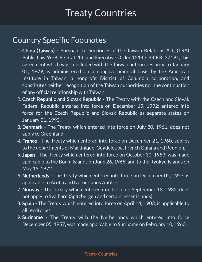#### **Country Specific Footnotes**

- 1. China (Taiwan) Pursuant to Section 6 of the Taiwan Relations Act, (TRA) Public Law 96-8, 93 Stat, 14, and Executive Order 12143, 44 F.R. 37191, this agreement which was concluded with the Taiwan authorities prior to January 01, 1979, is administered on a nongovernmental basis by the American Institute in Taiwan, a nonprofit District of Columbia corporation, and constitutes neither recognition of the Taiwan authorities nor the continuation of any official relationship with Taiwan.
- 2. Czech Repubilc and Slovak Republic The Treaty with the Czech and Slovak Federal Republic entered into force on December 19, 1992; entered into force for the Czech Republic and Slovak Republic as separate states on January 01, 1993.
- 3. Denmark The Treaty which entered into force on July 30, 1961, does not apply to Greenland.
- 4. France The Treaty which entered into force on December 21, 1960, applies to the departments of Martinique, Guadeloupe, French Guiana and Reunion.
- 5. Japan The Treaty which entered into force on October 30, 1953, was made applicable to the Bonin Islands on June 26, 1968, and to the Ryukyu Islands on May 15, 1972.
- 6. Netherlands The Treaty which entered into force on December 05, 1957, is applicable to Aruba and Netherlands Antilles.
- 7. Norway The Treaty which entered into force on September 13, 1932, does not apply to Svalbard (Spitzbergen and certain lesser islands).
- 8. Spain The Treaty which entered into force on April 14, 1903, is applicable to all territories.
- 9. Suriname The Treaty with the Netherlands which entered into force December 05, 1957, was made applicable to Suriname on February 10, 1963.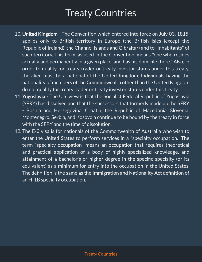- 10. United Kingdom The Convention which entered into force on July 03, 1815, applies only to British territory in Europe (the British Isles (except the Republic of Ireland), the Channel Islands and Gibraltar) and to "inhabitants" of such territory. This term, as used in the Convention, means "one who resides actually and permanently in a given place, and has his domicile there." Also, in order to qualify for treaty trader or treaty investor status under this treaty, the alien must be a national of the United Kingdom. Individuals having the nationality of members of the Commonwealth other than the United Kingdom do not qualify for treaty trader or treaty investor status under this treaty.
- 11. Yugoslavia The U.S. view is that the Socialist Federal Republic of Yugoslavia (SFRY) has dissolved and that the successors that formerly made up the SFRY - Bosnia and Herzegovina, Croatia, the Republic of Macedonia, Slovenia, Montenegro, Serbia, and Kosovo a continue to be bound by the treaty in force with the SFRY and the time of dissolution.
- 12. The E-3 visa is for nationals of the Commonwealth of Australia who wish to enter the United States to perform services in a "specialty occupation." The term "specialty occupation" means an occupation that requires theoretical and practical application of a body of highly specialized knowledge, and attainment of a bachelor's or higher degree in the specific specialty (or its equivalent) as a minimum for entry into the occupation in the United States. The definition is the same as the Immigration and Nationality Act definition of an H-1B specialty occupation.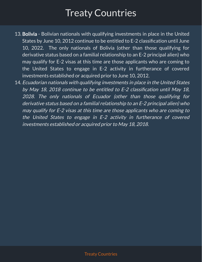- 13. Bolivia Bolivian nationals with qualifying investments in place in the United States by June 10, 2012 continue to be entitled to E-2 classification until June 10, 2022. The only nationals of Bolivia (other than those qualifying for derivative status based on a familial relationship to an E-2 principal alien) who may qualify for E-2 visas at this time are those applicants who are coming to the United States to engage in E-2 activity in furtherance of covered investments established or acquired prior to June 10, 2012.
- 14. Ecuadorian nationals with qualifying investments in place in the United States by May 18, 2018 continue to be entitled to  $E$ -2 classification until May 18, 2028. The only nationals of Ecuador (other than those qualifying for derivative status based on <sup>a</sup> familial relationship to an E-2 principal alien) who may qualify for E-2 visas at this time are those applicants who are coming to the United States to engage in E-2 activity in furtherance of covered investments established or acquired prior to May 18, 2018.